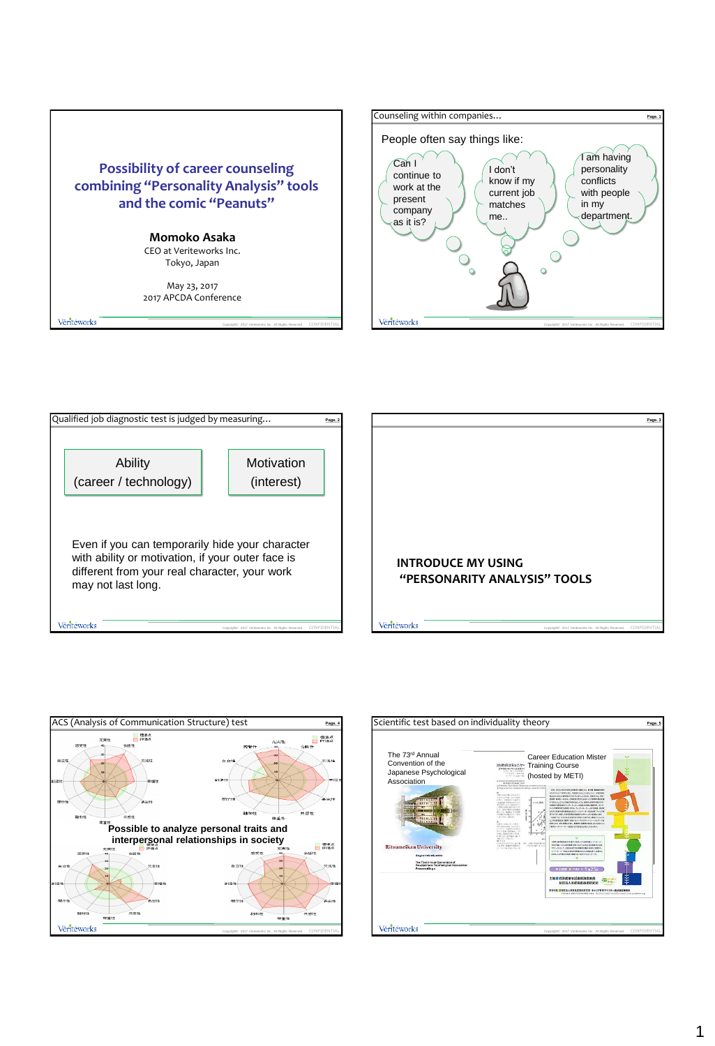

Copyright© 2017 Veriteworks Inc. All Rights Reserved. CONFIDENTIAL





Véritéworks





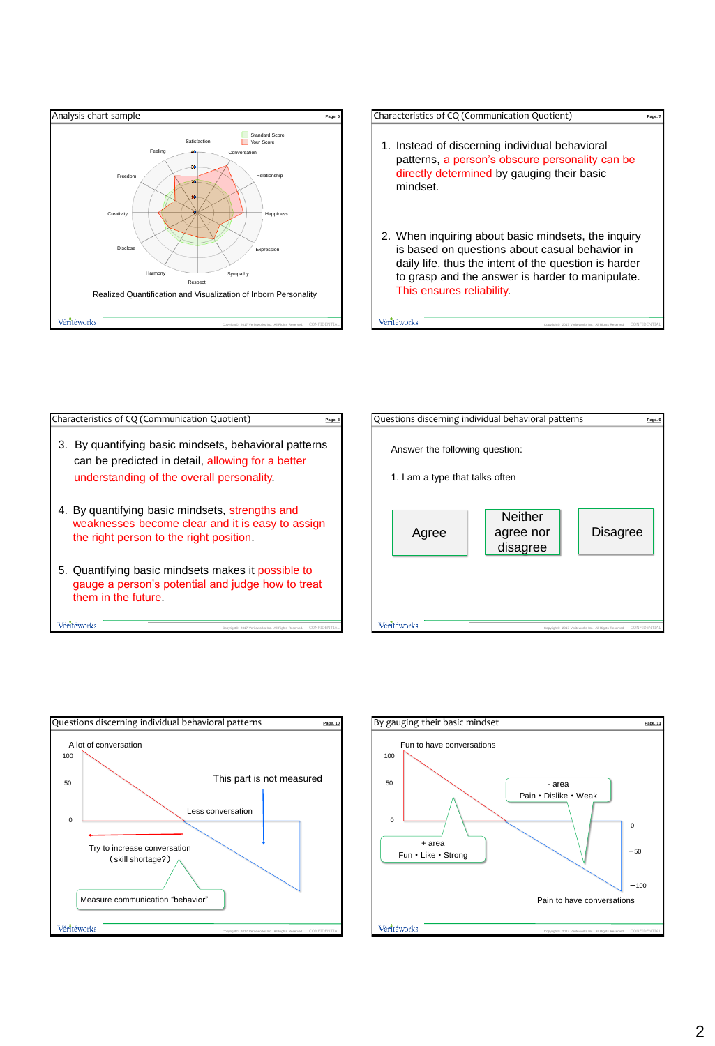



| Characteristics of CQ (Communication Quotient)                                                                                                             | Page, 8 |
|------------------------------------------------------------------------------------------------------------------------------------------------------------|---------|
| By quantifying basic mindsets, behavioral patterns<br>З.<br>can be predicted in detail, allowing for a better<br>understanding of the overall personality. |         |
| 4. By quantifying basic mindsets, strengths and<br>weaknesses become clear and it is easy to assign<br>the right person to the right position.             |         |
| 5. Quantifying basic mindsets makes it possible to<br>gauge a person's potential and judge how to treat<br>them in the future.                             |         |
| /érītéworks<br>CONFIL<br>Copyright@ 2017 Verhaworks Inc. All Rights Reserved.                                                                              |         |





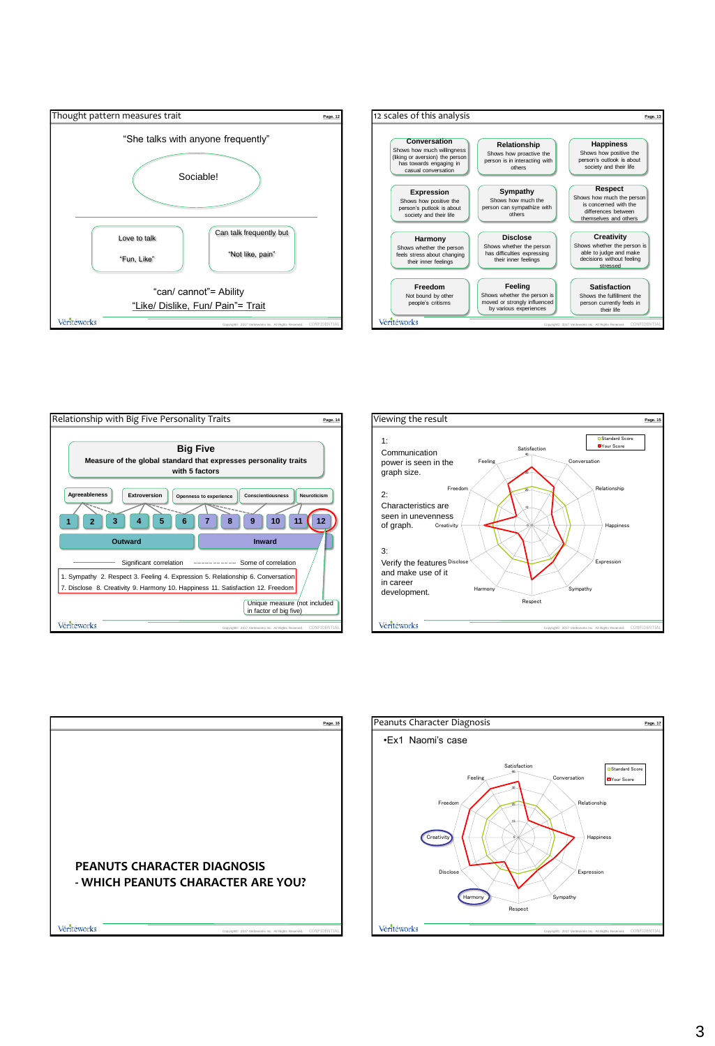









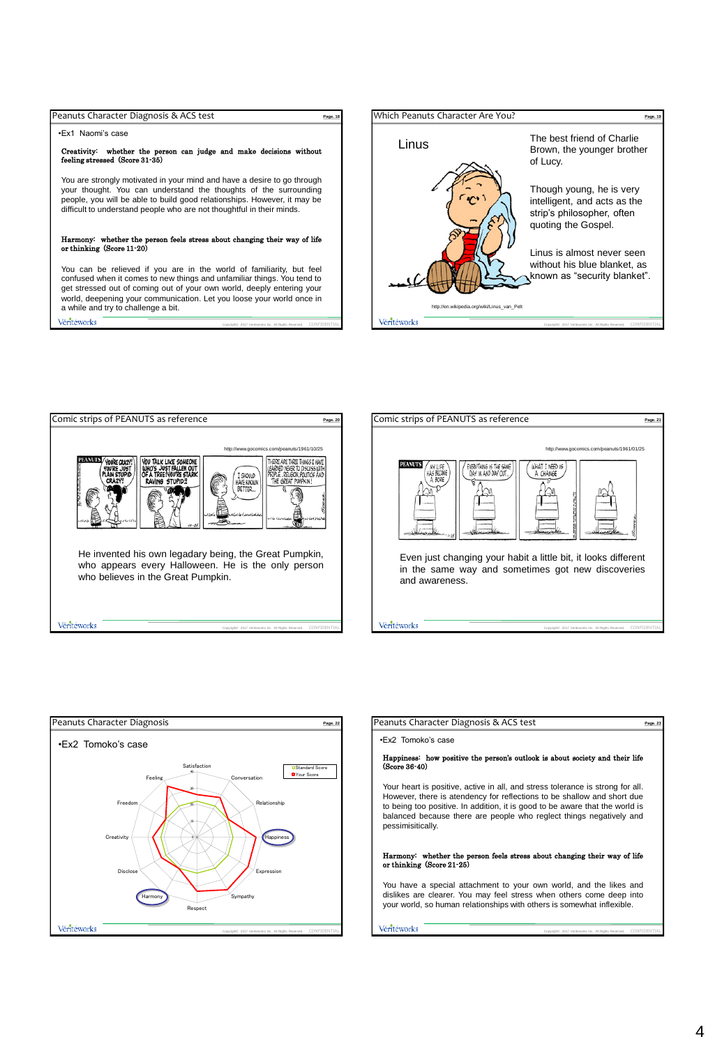| Peanuts Character Diagnosis & ACS test                                                                                                                                                                                                                                                                                                    | Page, 18    |
|-------------------------------------------------------------------------------------------------------------------------------------------------------------------------------------------------------------------------------------------------------------------------------------------------------------------------------------------|-------------|
| .Fx1 Naomi's case                                                                                                                                                                                                                                                                                                                         |             |
| Creativity: whether the person can judge and make decisions without<br>feeling stressed (Score 31-35)                                                                                                                                                                                                                                     |             |
| You are strongly motivated in your mind and have a desire to go through<br>your thought. You can understand the thoughts of the surrounding<br>people, you will be able to build good relationships. However, it may be<br>difficult to understand people who are not thoughtful in their minds.                                          |             |
| Harmony: whether the person feels stress about changing their way of life<br>or thinking (Score 11-20)                                                                                                                                                                                                                                    |             |
| You can be relieved if you are in the world of familiarity, but feel<br>confused when it comes to new things and unfamiliar things. You tend to<br>get stressed out of coming out of your own world, deeply entering your<br>world, deepening your communication. Let you loose your world once in<br>a while and try to challenge a bit. |             |
| Véritéworks<br>Copyright@ 2017 Veriteworks Inc. All Rights Reserved.                                                                                                                                                                                                                                                                      | CONFIDENTIA |









| Peanuts Character Diagnosis & ACS test                                                                                                                                                                                                                                                                                                | Page, 23 |
|---------------------------------------------------------------------------------------------------------------------------------------------------------------------------------------------------------------------------------------------------------------------------------------------------------------------------------------|----------|
| .Ex2 Tomoko's case                                                                                                                                                                                                                                                                                                                    |          |
| Happiness: how positive the person's outlook is about society and their life<br>(Score 36-40)                                                                                                                                                                                                                                         |          |
| Your heart is positive, active in all, and stress tolerance is strong for all.<br>However, there is atendency for reflections to be shallow and short due<br>to being too positive. In addition, it is good to be aware that the world is<br>balanced because there are people who reglect things negatively and<br>pessimisitically. |          |
| Harmony: whether the person feels stress about changing their way of life<br>or thinking (Score 21-25)                                                                                                                                                                                                                                |          |
| You have a special attachment to your own world, and the likes and<br>dislikes are clearer. You may feel stress when others come deep into<br>your world, so human relationships with others is somewhat inflexible.                                                                                                                  |          |
| Véritéworks<br>Copyright© 2017 Veriteworks Inc. All Rights Reserved.                                                                                                                                                                                                                                                                  |          |

Copyright© 2017 Veriteworks Inc. All Rights Reserved. CONFIDENTIAL